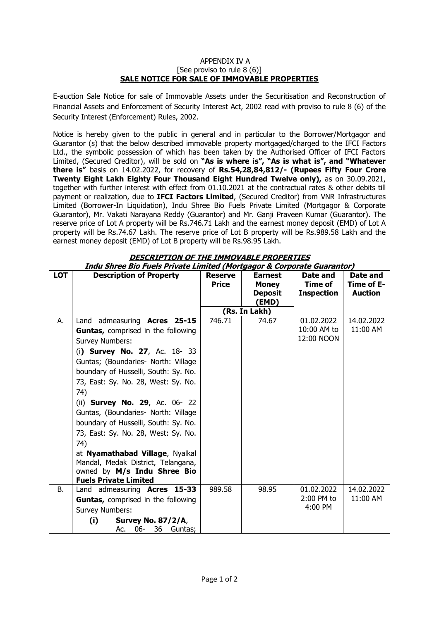## APPENDIX IV A [See proviso to rule 8 (6)] **SALE NOTICE FOR SALE OF IMMOVABLE PROPERTIES**

E-auction Sale Notice for sale of Immovable Assets under the Securitisation and Reconstruction of Financial Assets and Enforcement of Security Interest Act, 2002 read with proviso to rule 8 (6) of the Security Interest (Enforcement) Rules, 2002.

Notice is hereby given to the public in general and in particular to the Borrower/Mortgagor and Guarantor (s) that the below described immovable property mortgaged/charged to the IFCI Factors Ltd., the symbolic possession of which has been taken by the Authorised Officer of IFCI Factors Limited, (Secured Creditor), will be sold on **"As is where is", "As is what is", and "Whatever there is"** basis on 14.02.2022, for recovery of **Rs.54,28,84,812/- (Rupees Fifty Four Crore Twenty Eight Lakh Eighty Four Thousand Eight Hundred Twelve only),** as on 30.09.2021, together with further interest with effect from 01.10.2021 at the contractual rates & other debits till payment or realization, due to **IFCI Factors Limited**, (Secured Creditor) from VNR Infrastructures Limited (Borrower-In Liquidation), Indu Shree Bio Fuels Private Limited (Mortgagor & Corporate Guarantor), Mr. Vakati Narayana Reddy (Guarantor) and Mr. Ganji Praveen Kumar (Guarantor). The reserve price of Lot A property will be Rs.746.71 Lakh and the earnest money deposit (EMD) of Lot A property will be Rs.74.67 Lakh. The reserve price of Lot B property will be Rs.989.58 Lakh and the earnest money deposit (EMD) of Lot B property will be Rs.98.95 Lakh.

| <b>LOT</b> | <b>Description of Property</b>                                                                                                                                                                                                                                                                                                                                                                                                                                                                                                                                            | <b>Reserve</b><br><b>Price</b> | <b>Earnest</b><br><b>Money</b><br><b>Deposit</b><br>(EMD) | Date and<br>Time of<br><b>Inspection</b> | Date and<br>Time of E-<br><b>Auction</b> |
|------------|---------------------------------------------------------------------------------------------------------------------------------------------------------------------------------------------------------------------------------------------------------------------------------------------------------------------------------------------------------------------------------------------------------------------------------------------------------------------------------------------------------------------------------------------------------------------------|--------------------------------|-----------------------------------------------------------|------------------------------------------|------------------------------------------|
|            |                                                                                                                                                                                                                                                                                                                                                                                                                                                                                                                                                                           |                                | (Rs. In Lakh)                                             |                                          |                                          |
| А.         | Land admeasuring Acres 25-15<br>Guntas, comprised in the following<br><b>Survey Numbers:</b><br>(i) Survey No. 27, Ac. 18- 33<br>Guntas; (Boundaries- North: Village<br>boundary of Husselli, South: Sy. No.<br>73, East: Sy. No. 28, West: Sy. No.<br>74)<br>(ii) <b>Survey No. 29</b> , Ac. 06- 22<br>Guntas, (Boundaries- North: Village<br>boundary of Husselli, South: Sy. No.<br>73, East: Sy. No. 28, West: Sy. No.<br>74)<br>at Nyamathabad Village, Nyalkal<br>Mandal, Medak District, Telangana,<br>owned by M/s Indu Shree Bio<br><b>Fuels Private Limited</b> | 746.71                         | 74.67                                                     | 01.02.2022<br>10:00 AM to<br>12:00 NOON  | 14.02.2022<br>11:00 AM                   |
| В.         | Land admeasuring <b>Acres 15-33</b>                                                                                                                                                                                                                                                                                                                                                                                                                                                                                                                                       | 989.58                         | 98.95                                                     | 01.02.2022                               | 14.02.2022                               |
|            | <b>Guntas, comprised in the following</b>                                                                                                                                                                                                                                                                                                                                                                                                                                                                                                                                 |                                |                                                           | 2:00 PM to<br>4:00 PM                    | 11:00 AM                                 |
|            | <b>Survey Numbers:</b><br><b>Survey No. 87/2/A,</b>                                                                                                                                                                                                                                                                                                                                                                                                                                                                                                                       |                                |                                                           |                                          |                                          |
|            | (i)<br>$06-$<br>36<br>Ac.<br>Guntas;                                                                                                                                                                                                                                                                                                                                                                                                                                                                                                                                      |                                |                                                           |                                          |                                          |

**DESCRIPTION OF THE IMMOVABLE PROPERTIES Indu Shree Bio Fuels Private Limited (Mortgagor & Corporate Guarantor)**